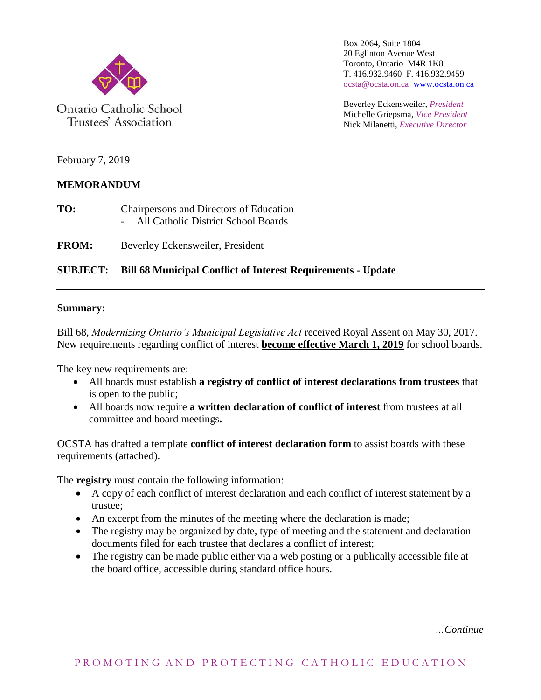

Ontario Catholic School Trustees' Association

Box 2064, Suite 1804 20 Eglinton Avenue West Toronto, Ontario M4R 1K8 T. 416.932.9460 F. 416.932.9459 ocsta@ocsta.on.ca [www.ocsta.on.ca](http://www.ocsta.on.ca/)

Beverley Eckensweiler, *President* Michelle Griepsma, *Vice President* Nick Milanetti, *Executive Director*

February 7, 2019

#### **MEMORANDUM**

**TO:** Chairpersons and Directors of Education - All Catholic District School Boards

**FROM:** Beverley Eckensweiler, President

#### **SUBJECT: Bill 68 Municipal Conflict of Interest Requirements - Update**

#### **Summary:**

Bill 68, *Modernizing Ontario's Municipal Legislative Act* received Royal Assent on May 30, 2017. New requirements regarding conflict of interest **become effective March 1, 2019** for school boards.

The key new requirements are:

- All boards must establish **a registry of conflict of interest declarations from trustees** that is open to the public;
- All boards now require **a written declaration of conflict of interest** from trustees at all committee and board meetings**.**

OCSTA has drafted a template **conflict of interest declaration form** to assist boards with these requirements (attached).

The **registry** must contain the following information:

- A copy of each conflict of interest declaration and each conflict of interest statement by a trustee;
- An excerpt from the minutes of the meeting where the declaration is made;
- The registry may be organized by date, type of meeting and the statement and declaration documents filed for each trustee that declares a conflict of interest;
- The registry can be made public either via a web posting or a publically accessible file at the board office, accessible during standard office hours.

*…Continue*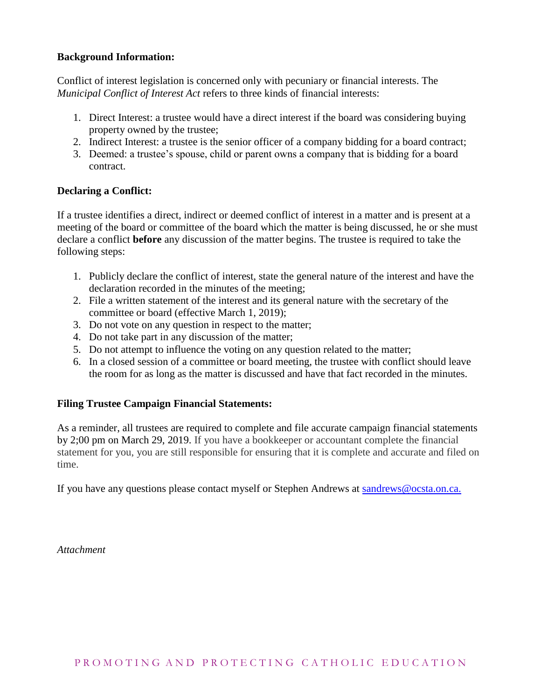#### **Background Information:**

Conflict of interest legislation is concerned only with pecuniary or financial interests. The *Municipal Conflict of Interest Act* refers to three kinds of financial interests:

- 1. Direct Interest: a trustee would have a direct interest if the board was considering buying property owned by the trustee;
- 2. Indirect Interest: a trustee is the senior officer of a company bidding for a board contract;
- 3. Deemed: a trustee's spouse, child or parent owns a company that is bidding for a board contract.

#### **Declaring a Conflict:**

If a trustee identifies a direct, indirect or deemed conflict of interest in a matter and is present at a meeting of the board or committee of the board which the matter is being discussed, he or she must declare a conflict **before** any discussion of the matter begins. The trustee is required to take the following steps:

- 1. Publicly declare the conflict of interest, state the general nature of the interest and have the declaration recorded in the minutes of the meeting;
- 2. File a written statement of the interest and its general nature with the secretary of the committee or board (effective March 1, 2019);
- 3. Do not vote on any question in respect to the matter;
- 4. Do not take part in any discussion of the matter;
- 5. Do not attempt to influence the voting on any question related to the matter;
- 6. In a closed session of a committee or board meeting, the trustee with conflict should leave the room for as long as the matter is discussed and have that fact recorded in the minutes.

#### **Filing Trustee Campaign Financial Statements:**

As a reminder, all trustees are required to complete and file accurate campaign financial statements by 2;00 pm on March 29, 2019. If you have a bookkeeper or accountant complete the financial statement for you, you are still responsible for ensuring that it is complete and accurate and filed on time.

If you have any questions please contact myself or Stephen Andrews at [sandrews@ocsta.on.ca.](mailto:sandrews@ocsta.on.ca)

*Attachment*